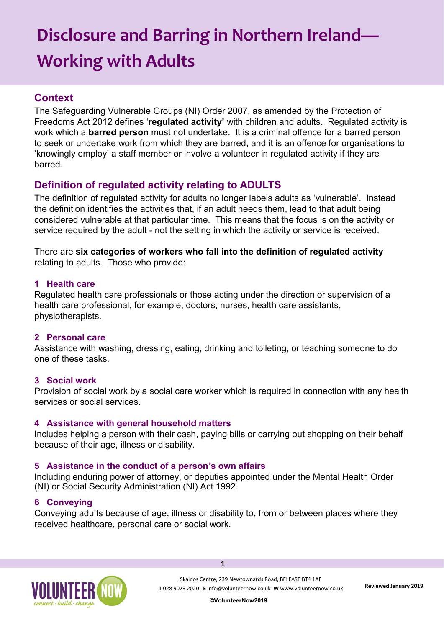# **Disclosure and Barring in Northern Ireland— Working with Adults**

# **Context**

The Safeguarding Vulnerable Groups (NI) Order 2007, as amended by the Protection of Freedoms Act 2012 defines '**regulated activity'** with children and adults. Regulated activity is work which a **barred person** must not undertake. It is a criminal offence for a barred person to seek or undertake work from which they are barred, and it is an offence for organisations to 'knowingly employ' a staff member or involve a volunteer in regulated activity if they are barred.

# **Definition of regulated activity relating to ADULTS**

The definition of regulated activity for adults no longer labels adults as 'vulnerable'. Instead the definition identifies the activities that, if an adult needs them, lead to that adult being considered vulnerable at that particular time. This means that the focus is on the activity or service required by the adult - not the setting in which the activity or service is received.

There are **six categories of workers who fall into the definition of regulated activity**  relating to adults. Those who provide:

## **1 Health care**

Regulated health care professionals or those acting under the direction or supervision of a health care professional, for example, doctors, nurses, health care assistants, physiotherapists.

## **2 Personal care**

Assistance with washing, dressing, eating, drinking and toileting, or teaching someone to do one of these tasks.

## **3 Social work**

Provision of social work by a social care worker which is required in connection with any health services or social services.

## **4 Assistance with general household matters**

Includes helping a person with their cash, paying bills or carrying out shopping on their behalf because of their age, illness or disability.

## **5 Assistance in the conduct of a person's own affairs**

Including enduring power of attorney, or deputies appointed under the Mental Health Order (NI) or Social Security Administration (NI) Act 1992.

## **6 Conveying**

Conveying adults because of age, illness or disability to, from or between places where they received healthcare, personal care or social work.

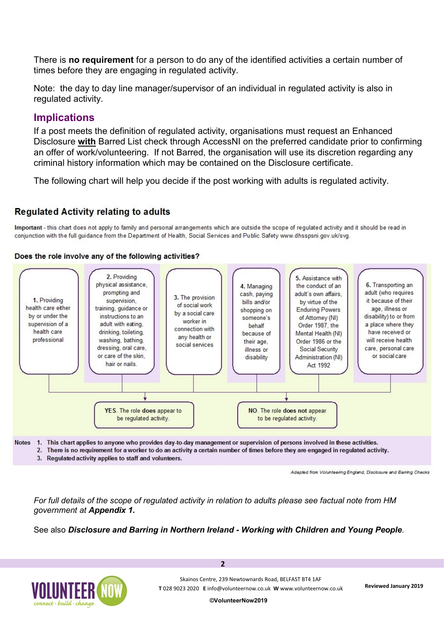There is **no requirement** for a person to do any of the identified activities a certain number of times before they are engaging in regulated activity.

Note: the day to day line manager/supervisor of an individual in regulated activity is also in regulated activity.

## **Implications**

If a post meets the definition of regulated activity, organisations must request an Enhanced Disclosure **with** Barred List check through AccessNI on the preferred candidate prior to confirming an offer of work/volunteering. If not Barred, the organisation will use its discretion regarding any criminal history information which may be contained on the Disclosure certificate.

The following chart will help you decide if the post working with adults is regulated activity.

## **Requlated Activity relating to adults**

Important - this chart does not apply to family and personal arrangements which are outside the scope of regulated activity and it should be read in conjunction with the full quidance from the Department of Health, Social Services and Public Safety www.dhsspsni.gov.uk/svg.

#### Does the role involve any of the following activities?



Adapted from Volunteering England, Disclosure and Barring Checks

*For full details of the scope of regulated activity in relation to adults please see factual note from HM government at Appendix 1.*

See also *Disclosure and Barring in Northern Ireland - Working with Children and Young People.*

**2**



**©VolunteerNow2019**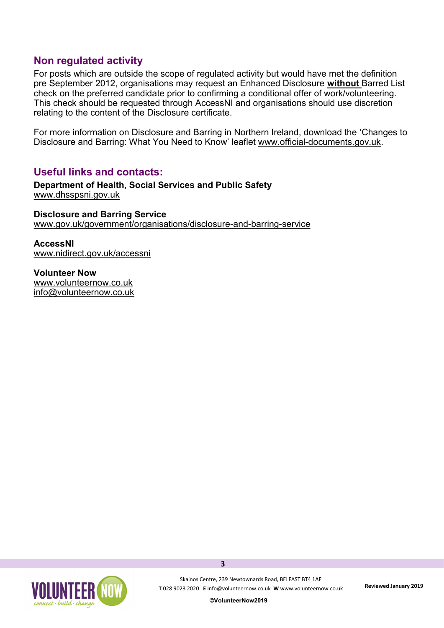## **Non regulated activity**

For posts which are outside the scope of regulated activity but would have met the definition pre September 2012, organisations may request an Enhanced Disclosure **without** Barred List check on the preferred candidate prior to confirming a conditional offer of work/volunteering. This check should be requested through AccessNI and organisations should use discretion relating to the content of the Disclosure certificate.

For more information on Disclosure and Barring in Northern Ireland, download the 'Changes to Disclosure and Barring: What You Need to Know' leaflet www.official-[documents.gov.uk.](https://www.gov.uk/government/publications?official_document_status=command_and_act_papers)

## **Useful links and contacts:**

**Department of Health, Social Services and Public Safety**  [www.dhsspsni.gov.uk](http://www.dhsspsni.gov.uk)

**Disclosure and Barring Service** [www.gov.uk/government/organisations/disclosure](https://www.gov.uk/government/organisations/disclosure-and-barring-service)-and-barring-service

**AccessNI** [www.nidirect.gov.uk/accessni](http://www.nidirect.gov.uk/accessni)

**Volunteer Now**  [www.volunteernow.co.uk](http://www.volunteernow.co.uk) [info@volunteernow.co.uk](mailto:info@volunteernow.co.uk)

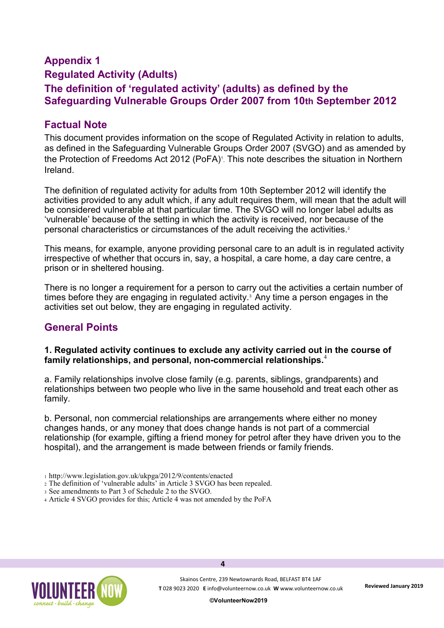# **Appendix 1 Regulated Activity (Adults) The definition of 'regulated activity' (adults) as defined by the Safeguarding Vulnerable Groups Order 2007 from 10th September 2012**

# **Factual Note**

This document provides information on the scope of Regulated Activity in relation to adults, as defined in the Safeguarding Vulnerable Groups Order 2007 (SVGO) and as amended by the Protection of Freedoms Act 2012 (PoFA)<sup>1</sup>. This note describes the situation in Northern Ireland.

The definition of regulated activity for adults from 10th September 2012 will identify the activities provided to any adult which, if any adult requires them, will mean that the adult will be considered vulnerable at that particular time. The SVGO will no longer label adults as 'vulnerable' because of the setting in which the activity is received, nor because of the personal characteristics or circumstances of the adult receiving the activities.<sup>2</sup>

This means, for example, anyone providing personal care to an adult is in regulated activity irrespective of whether that occurs in, say, a hospital, a care home, a day care centre, a prison or in sheltered housing.

There is no longer a requirement for a person to carry out the activities a certain number of times before they are engaging in regulated activity.<sup>3</sup> Any time a person engages in the activities set out below, they are engaging in regulated activity.

## **General Points**

#### **1. Regulated activity continues to exclude any activity carried out in the course of family relationships, and personal, non-commercial relationships.**<sup>4</sup>

a. Family relationships involve close family (e.g. parents, siblings, grandparents) and relationships between two people who live in the same household and treat each other as family.

b. Personal, non commercial relationships are arrangements where either no money changes hands, or any money that does change hands is not part of a commercial relationship (for example, gifting a friend money for petrol after they have driven you to the hospital), and the arrangement is made between friends or family friends.

- <sup>1</sup>http://www.legislation.gov.uk/ukpga/2012/9/contents/enacted
- <sup>2</sup>The definition of 'vulnerable adults' in Article 3 SVGO has been repealed.
- <sup>3</sup>See amendments to Part 3 of Schedule 2 to the SVGO.
- <sup>4</sup>Article 4 SVGO provides for this; Article 4 was not amended by the PoFA

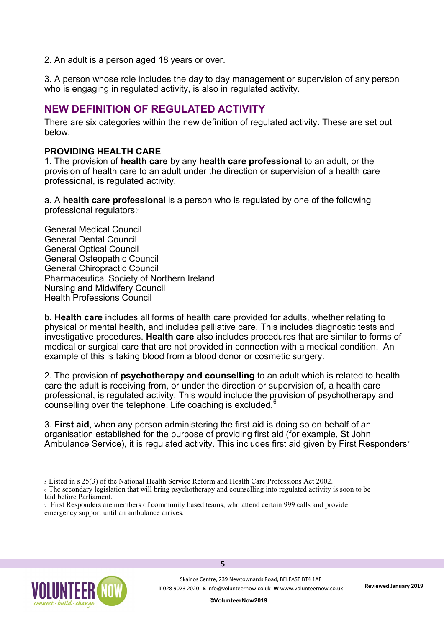2. An adult is a person aged 18 years or over.

3. A person whose role includes the day to day management or supervision of any person who is engaging in regulated activity, is also in regulated activity.

## **NEW DEFINITION OF REGULATED ACTIVITY**

There are six categories within the new definition of regulated activity. These are set out below.

#### **PROVIDING HEALTH CARE**

1. The provision of **health care** by any **health care professional** to an adult, or the provision of health care to an adult under the direction or supervision of a health care professional, is regulated activity.

a. A **health care professional** is a person who is regulated by one of the following professional regulators:

General Medical Council General Dental Council General Optical Council General Osteopathic Council General Chiropractic Council Pharmaceutical Society of Northern Ireland Nursing and Midwifery Council Health Professions Council

b. **Health care** includes all forms of health care provided for adults, whether relating to physical or mental health, and includes palliative care. This includes diagnostic tests and investigative procedures. **Health care** also includes procedures that are similar to forms of medical or surgical care that are not provided in connection with a medical condition. An example of this is taking blood from a blood donor or cosmetic surgery.

2. The provision of **psychotherapy and counselling** to an adult which is related to health care the adult is receiving from, or under the direction or supervision of, a health care professional, is regulated activity. This would include the provision of psychotherapy and counselling over the telephone. Life coaching is excluded.<sup>6</sup>

3. **First aid**, when any person administering the first aid is doing so on behalf of an organisation established for the purpose of providing first aid (for example, St John Ambulance Service), it is regulated activity. This includes first aid given by First Responders<sup>7</sup>



<sup>5</sup>Listed in s 25(3) of the National Health Service Reform and Health Care Professions Act 2002.

<sup>6</sup>The secondary legislation that will bring psychotherapy and counselling into regulated activity is soon to be laid before Parliament.

<sup>7</sup>First Responders are members of community based teams, who attend certain 999 calls and provide emergency support until an ambulance arrives.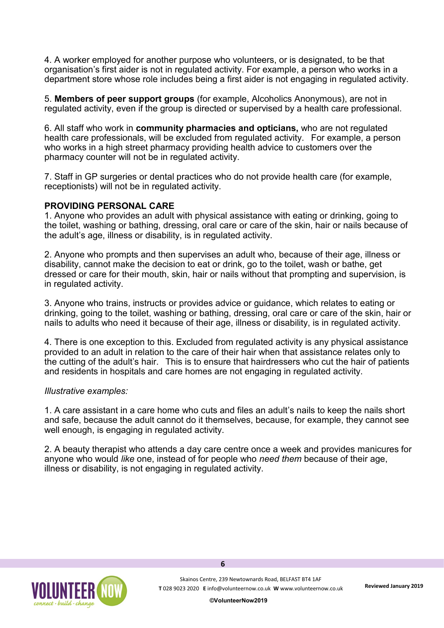4. A worker employed for another purpose who volunteers, or is designated, to be that organisation's first aider is not in regulated activity. For example, a person who works in a department store whose role includes being a first aider is not engaging in regulated activity.

5. **Members of peer support groups** (for example, Alcoholics Anonymous), are not in regulated activity, even if the group is directed or supervised by a health care professional.

6. All staff who work in **community pharmacies and opticians,** who are not regulated health care professionals, will be excluded from regulated activity. For example, a person who works in a high street pharmacy providing health advice to customers over the pharmacy counter will not be in regulated activity.

7. Staff in GP surgeries or dental practices who do not provide health care (for example, receptionists) will not be in regulated activity.

#### **PROVIDING PERSONAL CARE**

1. Anyone who provides an adult with physical assistance with eating or drinking, going to the toilet, washing or bathing, dressing, oral care or care of the skin, hair or nails because of the adult's age, illness or disability, is in regulated activity.

2. Anyone who prompts and then supervises an adult who, because of their age, illness or disability, cannot make the decision to eat or drink, go to the toilet, wash or bathe, get dressed or care for their mouth, skin, hair or nails without that prompting and supervision, is in regulated activity.

3. Anyone who trains, instructs or provides advice or guidance, which relates to eating or drinking, going to the toilet, washing or bathing, dressing, oral care or care of the skin, hair or nails to adults who need it because of their age, illness or disability, is in regulated activity.

4. There is one exception to this. Excluded from regulated activity is any physical assistance provided to an adult in relation to the care of their hair when that assistance relates only to the cutting of the adult's hair. This is to ensure that hairdressers who cut the hair of patients and residents in hospitals and care homes are not engaging in regulated activity.

#### *Illustrative examples:*

1. A care assistant in a care home who cuts and files an adult's nails to keep the nails short and safe, because the adult cannot do it themselves, because, for example, they cannot see well enough, is engaging in regulated activity.

2. A beauty therapist who attends a day care centre once a week and provides manicures for anyone who would *like* one, instead of for people who *need them* because of their age, illness or disability, is not engaging in regulated activity.

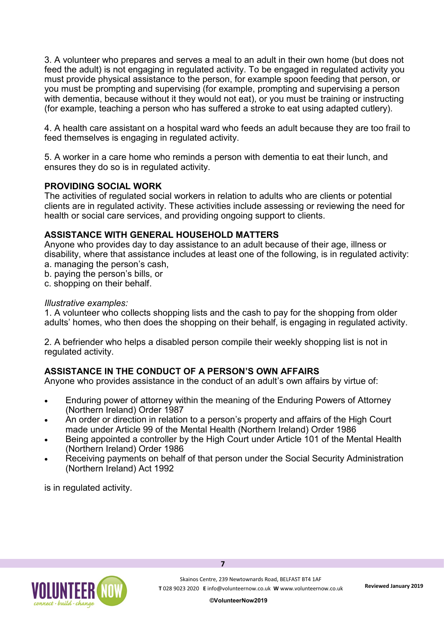3. A volunteer who prepares and serves a meal to an adult in their own home (but does not feed the adult) is not engaging in regulated activity. To be engaged in regulated activity you must provide physical assistance to the person, for example spoon feeding that person, or you must be prompting and supervising (for example, prompting and supervising a person with dementia, because without it they would not eat), or you must be training or instructing (for example, teaching a person who has suffered a stroke to eat using adapted cutlery).

4. A health care assistant on a hospital ward who feeds an adult because they are too frail to feed themselves is engaging in regulated activity.

5. A worker in a care home who reminds a person with dementia to eat their lunch, and ensures they do so is in regulated activity.

#### **PROVIDING SOCIAL WORK**

The activities of regulated social workers in relation to adults who are clients or potential clients are in regulated activity. These activities include assessing or reviewing the need for health or social care services, and providing ongoing support to clients.

#### **ASSISTANCE WITH GENERAL HOUSEHOLD MATTERS**

Anyone who provides day to day assistance to an adult because of their age, illness or disability, where that assistance includes at least one of the following, is in regulated activity: a. managing the person's cash,

- b. paying the person's bills, or
- c. shopping on their behalf.

#### *Illustrative examples:*

1. A volunteer who collects shopping lists and the cash to pay for the shopping from older adults' homes, who then does the shopping on their behalf, is engaging in regulated activity.

2. A befriender who helps a disabled person compile their weekly shopping list is not in regulated activity.

## **ASSISTANCE IN THE CONDUCT OF A PERSON'S OWN AFFAIRS**

Anyone who provides assistance in the conduct of an adult's own affairs by virtue of:

- Enduring power of attorney within the meaning of the Enduring Powers of Attorney (Northern Ireland) Order 1987
- An order or direction in relation to a person's property and affairs of the High Court made under Article 99 of the Mental Health (Northern Ireland) Order 1986
- Being appointed a controller by the High Court under Article 101 of the Mental Health (Northern Ireland) Order 1986
- Receiving payments on behalf of that person under the Social Security Administration (Northern Ireland) Act 1992

**7**

is in regulated activity.